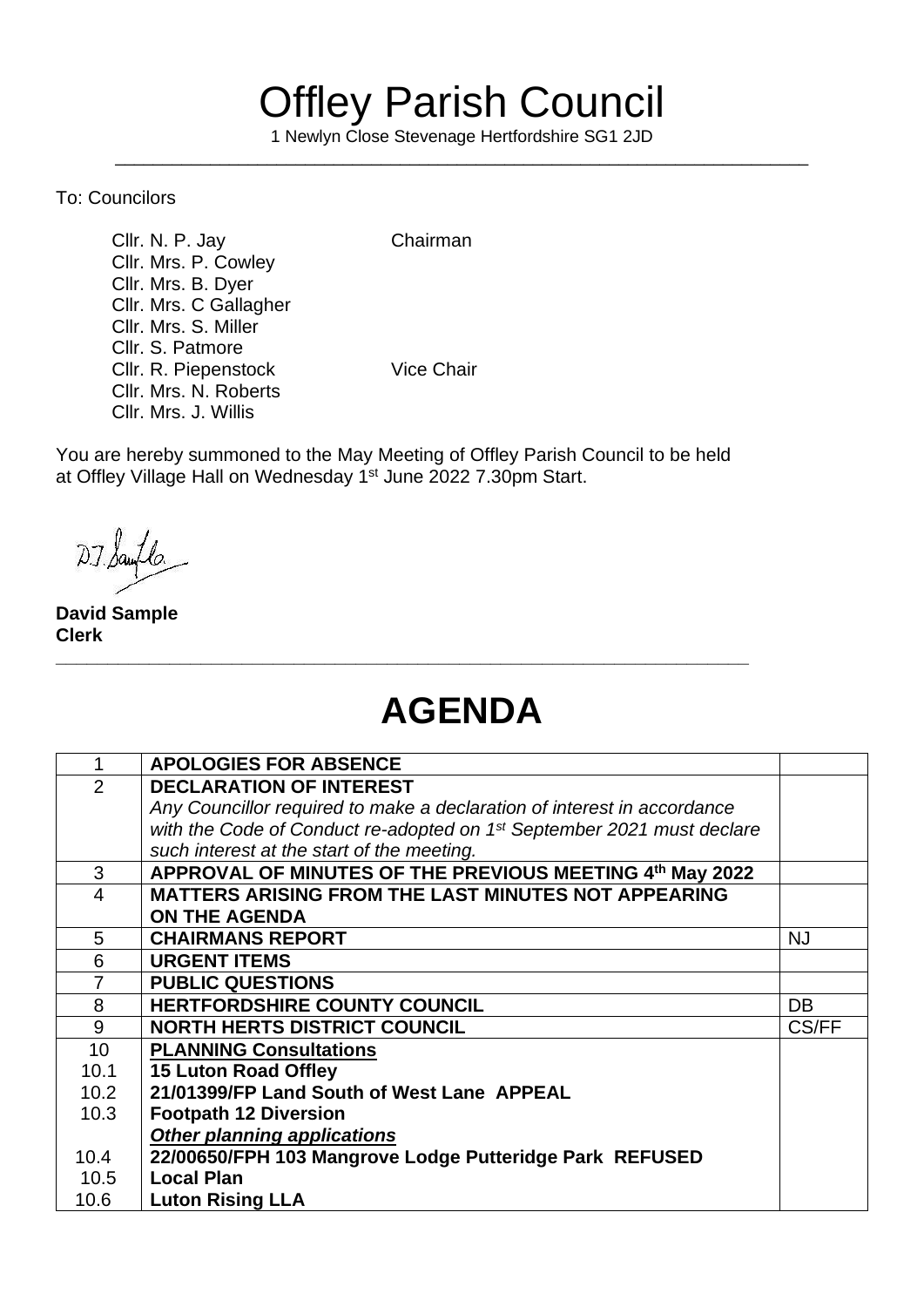## Offley Parish Council

1 Newlyn Close Stevenage Hertfordshire SG1 2JD \_\_\_\_\_\_\_\_\_\_\_\_\_\_\_\_\_\_\_\_\_\_\_\_\_\_\_\_\_\_\_\_\_\_\_\_\_\_\_\_\_\_\_\_\_\_\_\_\_\_\_\_\_\_\_\_\_\_\_\_\_\_\_\_\_\_\_\_\_\_\_\_\_

To: Councilors

Cllr. N. P. Jay Chairman Cllr. Mrs. P. Cowley Cllr. Mrs. B. Dyer Cllr. Mrs. C Gallagher Cllr. Mrs. S. Miller Cllr. S. Patmore Cllr. R. Piepenstock Vice Chair Cllr. Mrs. N. Roberts Cllr. Mrs. J. Willis

You are hereby summoned to the May Meeting of Offley Parish Council to be held at Offley Village Hall on Wednesday 1<sup>st</sup> June 2022 7.30pm Start.

**\_\_\_\_\_\_\_\_\_\_\_\_\_\_\_\_\_\_\_\_\_\_\_\_\_\_\_\_\_\_\_\_\_\_\_\_\_\_\_\_\_\_\_\_\_\_\_\_\_\_\_\_\_\_\_\_\_\_\_\_\_\_\_\_\_\_\_**

 $27$  Sample.

**David Sample Clerk** 

## **AGENDA**

|                 | <b>APOLOGIES FOR ABSENCE</b>                                                       |           |
|-----------------|------------------------------------------------------------------------------------|-----------|
| $\overline{2}$  | <b>DECLARATION OF INTEREST</b>                                                     |           |
|                 | Any Councillor required to make a declaration of interest in accordance            |           |
|                 | with the Code of Conduct re-adopted on 1 <sup>st</sup> September 2021 must declare |           |
|                 | such interest at the start of the meeting.                                         |           |
| 3               | APPROVAL OF MINUTES OF THE PREVIOUS MEETING 4th May 2022                           |           |
| $\overline{4}$  | <b>MATTERS ARISING FROM THE LAST MINUTES NOT APPEARING</b>                         |           |
|                 | <b>ON THE AGENDA</b>                                                               |           |
| 5               | <b>CHAIRMANS REPORT</b>                                                            | <b>NJ</b> |
| 6               | <b>URGENT ITEMS</b>                                                                |           |
|                 | <b>PUBLIC QUESTIONS</b>                                                            |           |
| 8               | <b>HERTFORDSHIRE COUNTY COUNCIL</b>                                                | <b>DB</b> |
| 9               | <b>NORTH HERTS DISTRICT COUNCIL</b>                                                | CS/FF     |
| 10 <sup>°</sup> | <b>PLANNING Consultations</b>                                                      |           |
| 10.1            | <b>15 Luton Road Offley</b>                                                        |           |
| 10.2            | 21/01399/FP Land South of West Lane APPEAL                                         |           |
| 10.3            | <b>Footpath 12 Diversion</b>                                                       |           |
|                 | Other planning applications                                                        |           |
| 10.4            | 22/00650/FPH 103 Mangrove Lodge Putteridge Park REFUSED                            |           |
| 10.5            | <b>Local Plan</b>                                                                  |           |
| 10.6            | <b>Luton Rising LLA</b>                                                            |           |